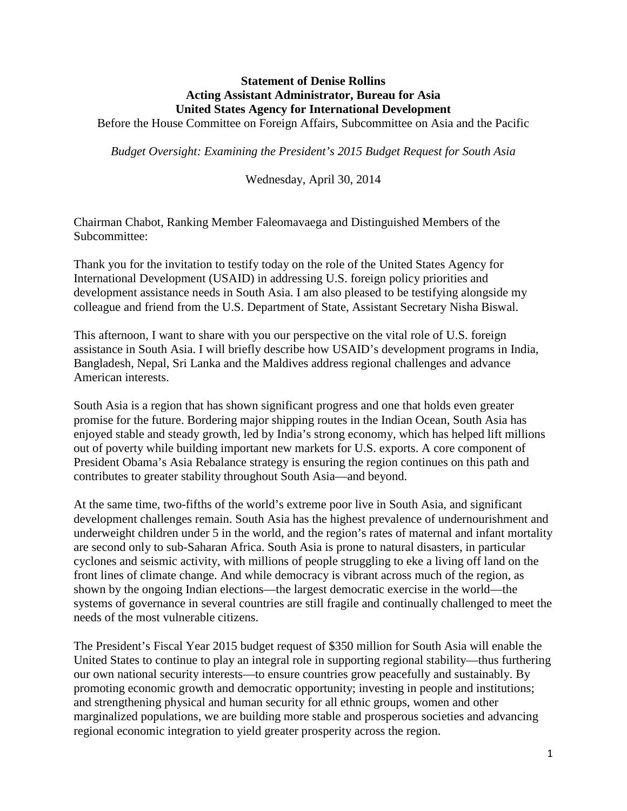# **Statement of Denise Rollins Acting Assistant Administrator, Bureau for Asia United States Agency for International Development**

Before the House Committee on Foreign Affairs, Subcommittee on Asia and the Pacific

*Budget Oversight: Examining the President's 2015 Budget Request for South Asia*

Wednesday, April 30, 2014

Chairman Chabot, Ranking Member Faleomavaega and Distinguished Members of the Subcommittee:

Thank you for the invitation to testify today on the role of the United States Agency for International Development (USAID) in addressing U.S. foreign policy priorities and development assistance needs in South Asia. I am also pleased to be testifying alongside my colleague and friend from the U.S. Department of State, Assistant Secretary Nisha Biswal.

This afternoon, I want to share with you our perspective on the vital role of U.S. foreign assistance in South Asia. I will briefly describe how USAID's development programs in India, Bangladesh, Nepal, Sri Lanka and the Maldives address regional challenges and advance American interests.

South Asia is a region that has shown significant progress and one that holds even greater promise for the future. Bordering major shipping routes in the Indian Ocean, South Asia has enjoyed stable and steady growth, led by India's strong economy, which has helped lift millions out of poverty while building important new markets for U.S. exports. A core component of President Obama's Asia Rebalance strategy is ensuring the region continues on this path and contributes to greater stability throughout South Asia—and beyond.

At the same time, two-fifths of the world's extreme poor live in South Asia, and significant development challenges remain. South Asia has the highest prevalence of undernourishment and underweight children under 5 in the world, and the region's rates of maternal and infant mortality are second only to sub-Saharan Africa. South Asia is prone to natural disasters, in particular cyclones and seismic activity, with millions of people struggling to eke a living off land on the front lines of climate change. And while democracy is vibrant across much of the region, as shown by the ongoing Indian elections—the largest democratic exercise in the world—the systems of governance in several countries are still fragile and continually challenged to meet the needs of the most vulnerable citizens.

The President's Fiscal Year 2015 budget request of \$350 million for South Asia will enable the United States to continue to play an integral role in supporting regional stability—thus furthering our own national security interests—to ensure countries grow peacefully and sustainably. By promoting economic growth and democratic opportunity; investing in people and institutions; and strengthening physical and human security for all ethnic groups, women and other marginalized populations, we are building more stable and prosperous societies and advancing regional economic integration to yield greater prosperity across the region.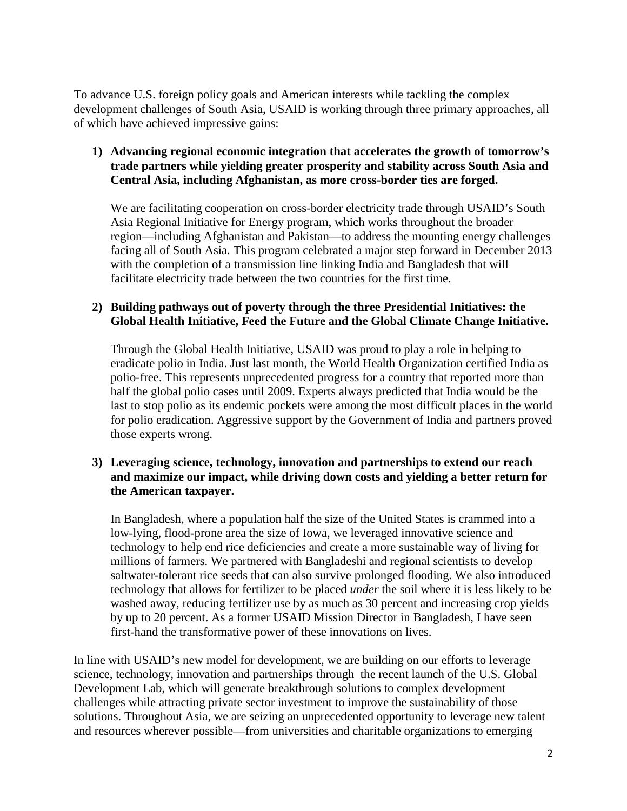To advance U.S. foreign policy goals and American interests while tackling the complex development challenges of South Asia, USAID is working through three primary approaches, all of which have achieved impressive gains:

**1) Advancing regional economic integration that accelerates the growth of tomorrow's trade partners while yielding greater prosperity and stability across South Asia and Central Asia, including Afghanistan, as more cross-border ties are forged.**

We are facilitating cooperation on cross-border electricity trade through USAID's South Asia Regional Initiative for Energy program, which works throughout the broader region—including Afghanistan and Pakistan—to address the mounting energy challenges facing all of South Asia. This program celebrated a major step forward in December 2013 with the completion of a transmission line linking India and Bangladesh that will facilitate electricity trade between the two countries for the first time.

#### **2) Building pathways out of poverty through the three Presidential Initiatives: the Global Health Initiative, Feed the Future and the Global Climate Change Initiative.**

Through the Global Health Initiative, USAID was proud to play a role in helping to eradicate polio in India. Just last month, the World Health Organization certified India as polio-free. This represents unprecedented progress for a country that reported more than half the global polio cases until 2009. Experts always predicted that India would be the last to stop polio as its endemic pockets were among the most difficult places in the world for polio eradication. Aggressive support by the Government of India and partners proved those experts wrong.

#### **3) Leveraging science, technology, innovation and partnerships to extend our reach and maximize our impact, while driving down costs and yielding a better return for the American taxpayer.**

In Bangladesh, where a population half the size of the United States is crammed into a low-lying, flood-prone area the size of Iowa, we leveraged innovative science and technology to help end rice deficiencies and create a more sustainable way of living for millions of farmers. We partnered with Bangladeshi and regional scientists to develop saltwater-tolerant rice seeds that can also survive prolonged flooding. We also introduced technology that allows for fertilizer to be placed *under* the soil where it is less likely to be washed away, reducing fertilizer use by as much as 30 percent and increasing crop yields by up to 20 percent. As a former USAID Mission Director in Bangladesh, I have seen first-hand the transformative power of these innovations on lives.

In line with USAID's new model for development, we are building on our efforts to leverage science, technology, innovation and partnerships through the recent launch of the U.S. Global Development Lab, which will generate breakthrough solutions to complex development challenges while attracting private sector investment to improve the sustainability of those solutions. Throughout Asia, we are seizing an unprecedented opportunity to leverage new talent and resources wherever possible—from universities and charitable organizations to emerging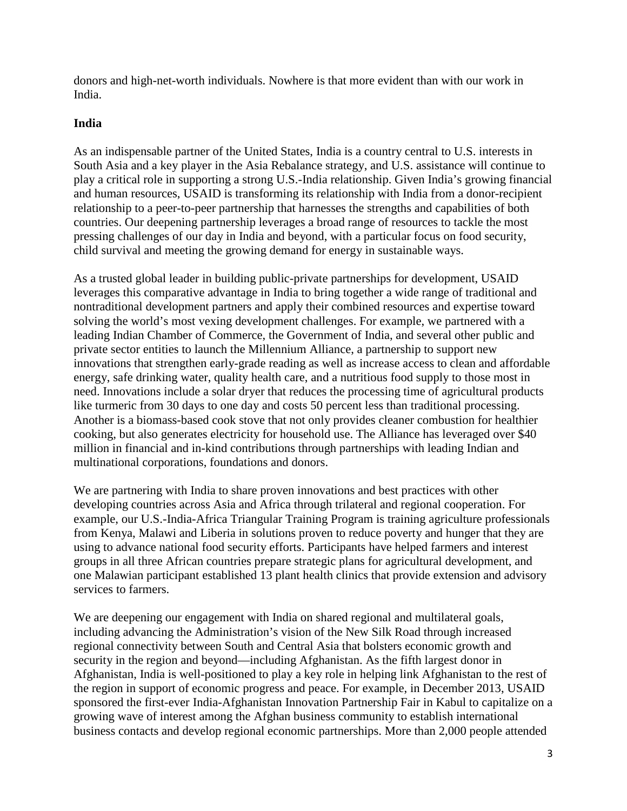donors and high-net-worth individuals. Nowhere is that more evident than with our work in India.

#### **India**

As an indispensable partner of the United States, India is a country central to U.S. interests in South Asia and a key player in the Asia Rebalance strategy, and U.S. assistance will continue to play a critical role in supporting a strong U.S.-India relationship. Given India's growing financial and human resources, USAID is transforming its relationship with India from a donor-recipient relationship to a peer-to-peer partnership that harnesses the strengths and capabilities of both countries. Our deepening partnership leverages a broad range of resources to tackle the most pressing challenges of our day in India and beyond, with a particular focus on food security, child survival and meeting the growing demand for energy in sustainable ways.

As a trusted global leader in building public-private partnerships for development, USAID leverages this comparative advantage in India to bring together a wide range of traditional and nontraditional development partners and apply their combined resources and expertise toward solving the world's most vexing development challenges. For example, we partnered with a leading Indian Chamber of Commerce, the Government of India, and several other public and private sector entities to launch the Millennium Alliance, a partnership to support new innovations that strengthen early-grade reading as well as increase access to clean and affordable energy, safe drinking water, quality health care, and a nutritious food supply to those most in need. Innovations include a solar dryer that reduces the processing time of agricultural products like turmeric from 30 days to one day and costs 50 percent less than traditional processing. Another is a biomass-based cook stove that not only provides cleaner combustion for healthier cooking, but also generates electricity for household use. The Alliance has leveraged over \$40 million in financial and in-kind contributions through partnerships with leading Indian and multinational corporations, foundations and donors.

We are partnering with India to share proven innovations and best practices with other developing countries across Asia and Africa through trilateral and regional cooperation. For example, our U.S.-India-Africa Triangular Training Program is training agriculture professionals from Kenya, Malawi and Liberia in solutions proven to reduce poverty and hunger that they are using to advance national food security efforts. Participants have helped farmers and interest groups in all three African countries prepare strategic plans for agricultural development, and one Malawian participant established 13 plant health clinics that provide extension and advisory services to farmers.

We are deepening our engagement with India on shared regional and multilateral goals, including advancing the Administration's vision of the New Silk Road through increased regional connectivity between South and Central Asia that bolsters economic growth and security in the region and beyond—including Afghanistan. As the fifth largest donor in Afghanistan, India is well-positioned to play a key role in helping link Afghanistan to the rest of the region in support of economic progress and peace. For example, in December 2013, USAID sponsored the first-ever India-Afghanistan Innovation Partnership Fair in Kabul to capitalize on a growing wave of interest among the Afghan business community to establish international business contacts and develop regional economic partnerships. More than 2,000 people attended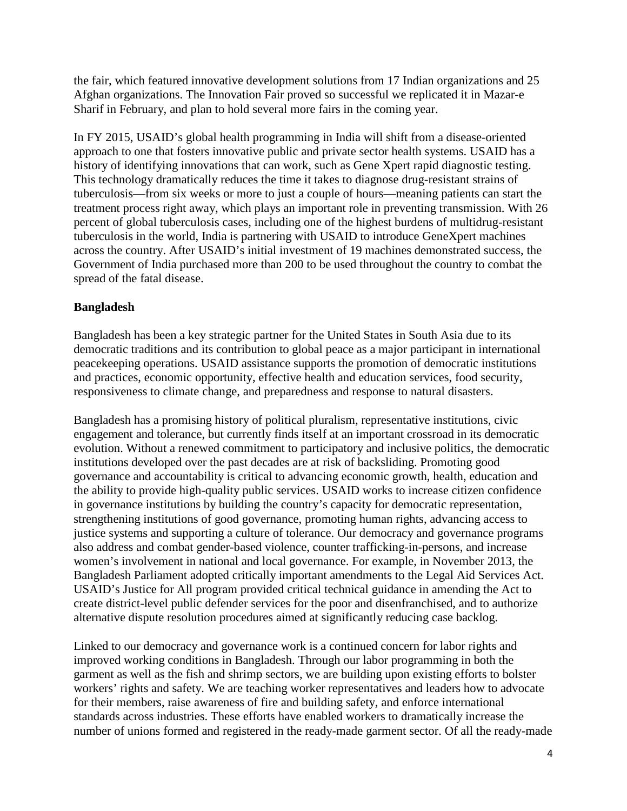the fair, which featured innovative development solutions from 17 Indian organizations and 25 Afghan organizations. The Innovation Fair proved so successful we replicated it in Mazar-e Sharif in February, and plan to hold several more fairs in the coming year.

In FY 2015, USAID's global health programming in India will shift from a disease-oriented approach to one that fosters innovative public and private sector health systems. USAID has a history of identifying innovations that can work, such as Gene Xpert rapid diagnostic testing. This technology dramatically reduces the time it takes to diagnose drug-resistant strains of tuberculosis—from six weeks or more to just a couple of hours—meaning patients can start the treatment process right away, which plays an important role in preventing transmission. With 26 percent of global tuberculosis cases, including one of the highest burdens of multidrug-resistant tuberculosis in the world, India is partnering with USAID to introduce GeneXpert machines across the country. After USAID's initial investment of 19 machines demonstrated success, the Government of India purchased more than 200 to be used throughout the country to combat the spread of the fatal disease.

## **Bangladesh**

Bangladesh has been a key strategic partner for the United States in South Asia due to its democratic traditions and its contribution to global peace as a major participant in international peacekeeping operations. USAID assistance supports the promotion of democratic institutions and practices, economic opportunity, effective health and education services, food security, responsiveness to climate change, and preparedness and response to natural disasters.

Bangladesh has a promising history of political pluralism, representative institutions, civic engagement and tolerance, but currently finds itself at an important crossroad in its democratic evolution. Without a renewed commitment to participatory and inclusive politics, the democratic institutions developed over the past decades are at risk of backsliding. Promoting good governance and accountability is critical to advancing economic growth, health, education and the ability to provide high-quality public services. USAID works to increase citizen confidence in governance institutions by building the country's capacity for democratic representation, strengthening institutions of good governance, promoting human rights, advancing access to justice systems and supporting a culture of tolerance. Our democracy and governance programs also address and combat gender-based violence, counter trafficking-in-persons, and increase women's involvement in national and local governance. For example, in November 2013, the Bangladesh Parliament adopted critically important amendments to the Legal Aid Services Act. USAID's Justice for All program provided critical technical guidance in amending the Act to create district-level public defender services for the poor and disenfranchised, and to authorize alternative dispute resolution procedures aimed at significantly reducing case backlog.

Linked to our democracy and governance work is a continued concern for labor rights and improved working conditions in Bangladesh. Through our labor programming in both the garment as well as the fish and shrimp sectors, we are building upon existing efforts to bolster workers' rights and safety. We are teaching worker representatives and leaders how to advocate for their members, raise awareness of fire and building safety, and enforce international standards across industries. These efforts have enabled workers to dramatically increase the number of unions formed and registered in the ready-made garment sector. Of all the ready-made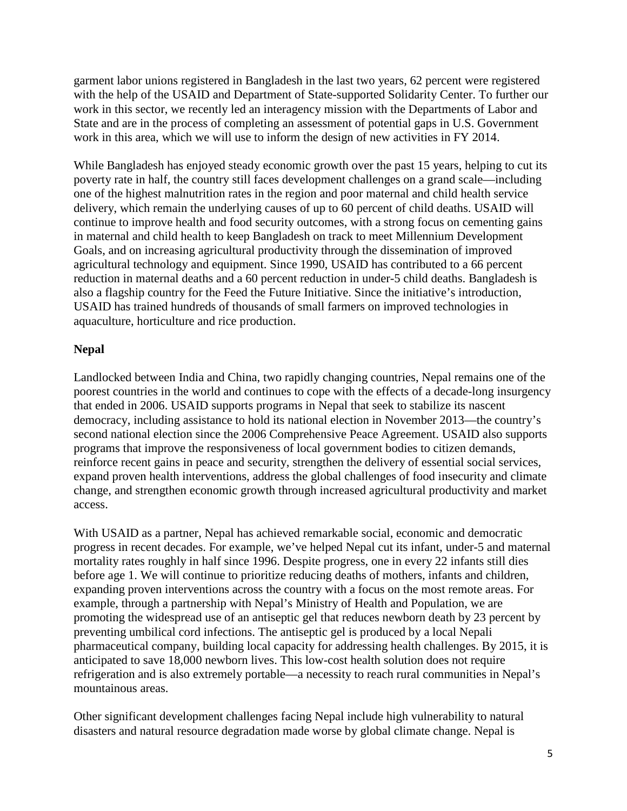garment labor unions registered in Bangladesh in the last two years, 62 percent were registered with the help of the USAID and Department of State-supported Solidarity Center. To further our work in this sector, we recently led an interagency mission with the Departments of Labor and State and are in the process of completing an assessment of potential gaps in U.S. Government work in this area, which we will use to inform the design of new activities in FY 2014.

While Bangladesh has enjoyed steady economic growth over the past 15 years, helping to cut its poverty rate in half, the country still faces development challenges on a grand scale—including one of the highest malnutrition rates in the region and poor maternal and child health service delivery, which remain the underlying causes of up to 60 percent of child deaths. USAID will continue to improve health and food security outcomes, with a strong focus on cementing gains in maternal and child health to keep Bangladesh on track to meet Millennium Development Goals, and on increasing agricultural productivity through the dissemination of improved agricultural technology and equipment. Since 1990, USAID has contributed to a 66 percent reduction in maternal deaths and a 60 percent reduction in under-5 child deaths. Bangladesh is also a flagship country for the Feed the Future Initiative. Since the initiative's introduction, USAID has trained hundreds of thousands of small farmers on improved technologies in aquaculture, horticulture and rice production.

#### **Nepal**

Landlocked between India and China, two rapidly changing countries, Nepal remains one of the poorest countries in the world and continues to cope with the effects of a decade-long insurgency that ended in 2006. USAID supports programs in Nepal that seek to stabilize its nascent democracy, including assistance to hold its national election in November 2013—the country's second national election since the 2006 Comprehensive Peace Agreement. USAID also supports programs that improve the responsiveness of local government bodies to citizen demands, reinforce recent gains in peace and security, strengthen the delivery of essential social services, expand proven health interventions, address the global challenges of food insecurity and climate change, and strengthen economic growth through increased agricultural productivity and market access.

With USAID as a partner, Nepal has achieved remarkable social, economic and democratic progress in recent decades. For example, we've helped Nepal cut its infant, under-5 and maternal mortality rates roughly in half since 1996. Despite progress, one in every 22 infants still dies before age 1. We will continue to prioritize reducing deaths of mothers, infants and children, expanding proven interventions across the country with a focus on the most remote areas. For example, through a partnership with Nepal's Ministry of Health and Population, we are promoting the widespread use of an antiseptic gel that reduces newborn death by 23 percent by preventing umbilical cord infections. The antiseptic gel is produced by a local Nepali pharmaceutical company, building local capacity for addressing health challenges. By 2015, it is anticipated to save 18,000 newborn lives. This low-cost health solution does not require refrigeration and is also extremely portable—a necessity to reach rural communities in Nepal's mountainous areas.

Other significant development challenges facing Nepal include high vulnerability to natural disasters and natural resource degradation made worse by global climate change. Nepal is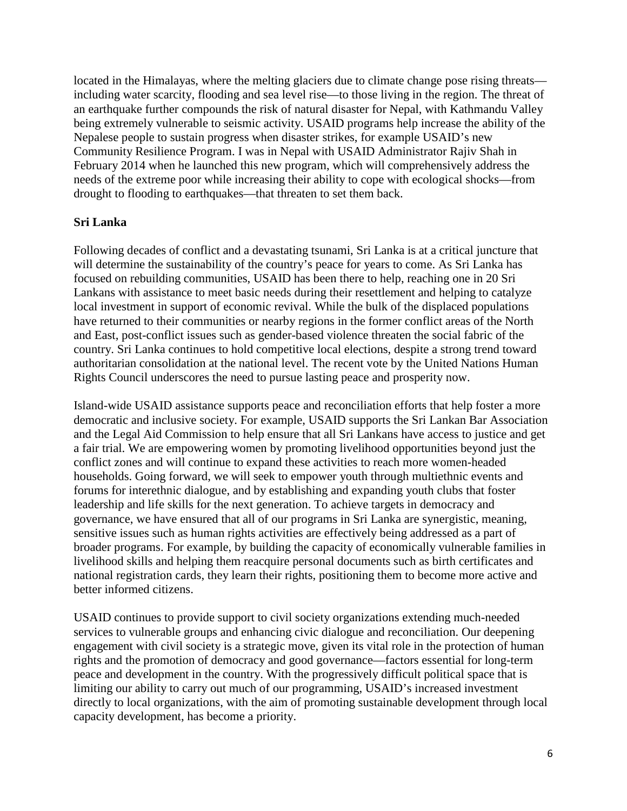located in the Himalayas, where the melting glaciers due to climate change pose rising threats including water scarcity, flooding and sea level rise—to those living in the region. The threat of an earthquake further compounds the risk of natural disaster for Nepal, with Kathmandu Valley being extremely vulnerable to seismic activity. USAID programs help increase the ability of the Nepalese people to sustain progress when disaster strikes, for example USAID's new Community Resilience Program. I was in Nepal with USAID Administrator Rajiv Shah in February 2014 when he launched this new program, which will comprehensively address the needs of the extreme poor while increasing their ability to cope with ecological shocks—from drought to flooding to earthquakes—that threaten to set them back.

#### **Sri Lanka**

Following decades of conflict and a devastating tsunami, Sri Lanka is at a critical juncture that will determine the sustainability of the country's peace for years to come. As Sri Lanka has focused on rebuilding communities, USAID has been there to help, reaching one in 20 Sri Lankans with assistance to meet basic needs during their resettlement and helping to catalyze local investment in support of economic revival. While the bulk of the displaced populations have returned to their communities or nearby regions in the former conflict areas of the North and East, post-conflict issues such as gender-based violence threaten the social fabric of the country. Sri Lanka continues to hold competitive local elections, despite a strong trend toward authoritarian consolidation at the national level. The recent vote by the United Nations Human Rights Council underscores the need to pursue lasting peace and prosperity now.

Island-wide USAID assistance supports peace and reconciliation efforts that help foster a more democratic and inclusive society. For example, USAID supports the Sri Lankan Bar Association and the Legal Aid Commission to help ensure that all Sri Lankans have access to justice and get a fair trial. We are empowering women by promoting livelihood opportunities beyond just the conflict zones and will continue to expand these activities to reach more women-headed households. Going forward, we will seek to empower youth through multiethnic events and forums for interethnic dialogue, and by establishing and expanding youth clubs that foster leadership and life skills for the next generation. To achieve targets in democracy and governance, we have ensured that all of our programs in Sri Lanka are synergistic, meaning, sensitive issues such as human rights activities are effectively being addressed as a part of broader programs. For example, by building the capacity of economically vulnerable families in livelihood skills and helping them reacquire personal documents such as birth certificates and national registration cards, they learn their rights, positioning them to become more active and better informed citizens.

USAID continues to provide support to civil society organizations extending much-needed services to vulnerable groups and enhancing civic dialogue and reconciliation. Our deepening engagement with civil society is a strategic move, given its vital role in the protection of human rights and the promotion of democracy and good governance—factors essential for long-term peace and development in the country. With the progressively difficult political space that is limiting our ability to carry out much of our programming, USAID's increased investment directly to local organizations, with the aim of promoting sustainable development through local capacity development, has become a priority.